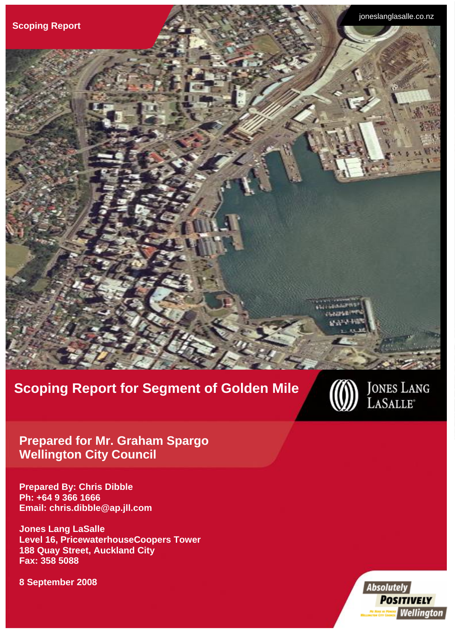

# **Scoping Report for Segment of Golden Mile**



Jones Lang LaSalle **Prepared for Mr. Graham Spargo** on City Council **Wellington City Council** 

**Prepared By: Chris Dibble Ph: +64 9 366 1666 Email: chris.dibble@ap.jll.com** 

**Jones Lang LaSalle Level 16, PricewaterhouseCoopers Tower 188 Quay Street, Auckland City Fax: 358 5088** 

**8 September 2008** 

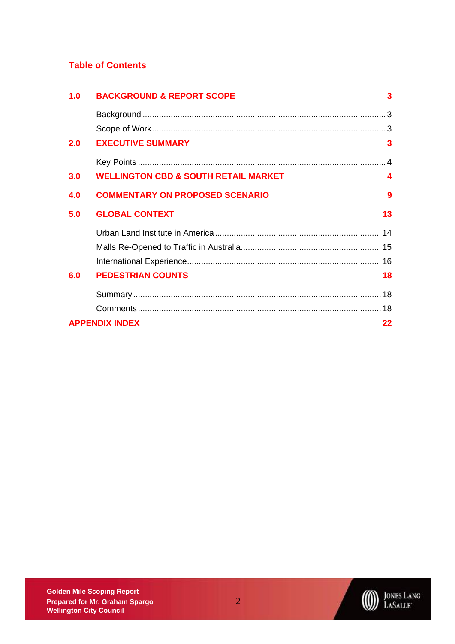### **Table of Contents**

| 1.0 | <b>BACKGROUND &amp; REPORT SCOPE</b>            | 3                |
|-----|-------------------------------------------------|------------------|
|     |                                                 |                  |
|     |                                                 |                  |
| 2.0 | <b>EXECUTIVE SUMMARY</b>                        | 3                |
|     |                                                 |                  |
| 3.0 | <b>WELLINGTON CBD &amp; SOUTH RETAIL MARKET</b> | $\blacktriangle$ |
| 4.0 | <b>COMMENTARY ON PROPOSED SCENARIO</b>          | 9                |
| 5.0 | <b>GLOBAL CONTEXT</b>                           | 13               |
|     |                                                 |                  |
|     |                                                 |                  |
|     |                                                 |                  |
| 6.0 | <b>PEDESTRIAN COUNTS</b>                        | 18               |
|     |                                                 |                  |
|     |                                                 |                  |
|     | <b>APPENDIX INDEX</b>                           | 22               |



**DES LANG**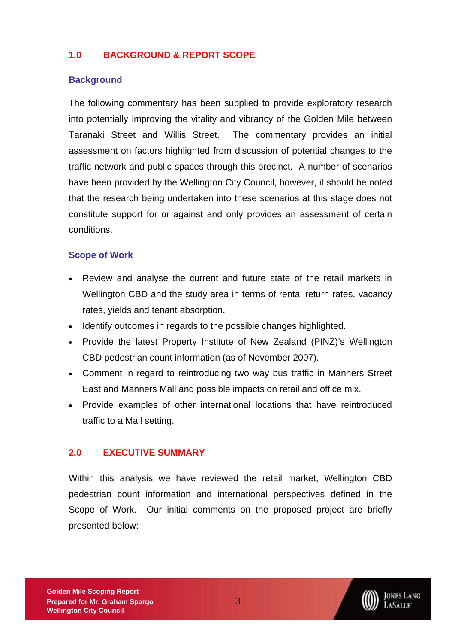# <span id="page-2-0"></span>**1.0 BACKGROUND & REPORT SCOPE**

### **Background**

The following commentary has been supplied to provide exploratory research into potentially improving the vitality and vibrancy of the Golden Mile between Taranaki Street and Willis Street. The commentary provides an initial assessment on factors highlighted from discussion of potential changes to the traffic network and public spaces through this precinct. A number of scenarios have been provided by the Wellington City Council, however, it should be noted that the research being undertaken into these scenarios at this stage does not constitute support for or against and only provides an assessment of certain conditions.

### **Scope of Work**

- Review and analyse the current and future state of the retail markets in Wellington CBD and the study area in terms of rental return rates, vacancy rates, yields and tenant absorption.
- Identify outcomes in regards to the possible changes highlighted.
- Provide the latest Property Institute of New Zealand (PINZ)'s Wellington CBD pedestrian count information (as of November 2007).
- Comment in regard to reintroducing two way bus traffic in Manners Street East and Manners Mall and possible impacts on retail and office mix.
- Provide examples of other international locations that have reintroduced traffic to a Mall setting.

### **2.0 EXECUTIVE SUMMARY**

Within this analysis we have reviewed the retail market, Wellington CBD pedestrian count information and international perspectives defined in the Scope of Work. Our initial comments on the proposed project are briefly presented below:

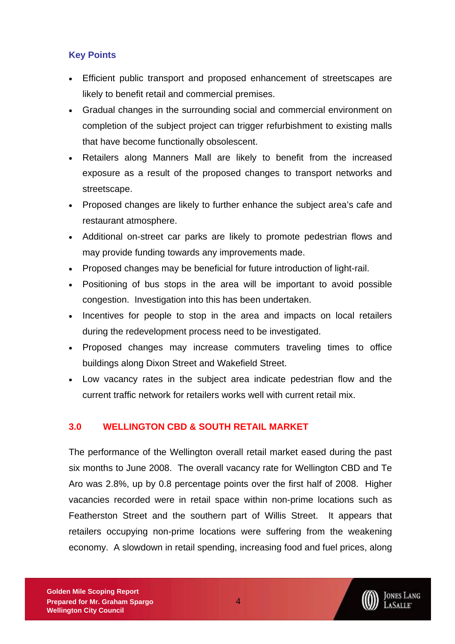# <span id="page-3-0"></span>**Key Points**

- Efficient public transport and proposed enhancement of streetscapes are likely to benefit retail and commercial premises.
- Gradual changes in the surrounding social and commercial environment on completion of the subject project can trigger refurbishment to existing malls that have become functionally obsolescent.
- Retailers along Manners Mall are likely to benefit from the increased exposure as a result of the proposed changes to transport networks and streetscape.
- Proposed changes are likely to further enhance the subject area's cafe and restaurant atmosphere.
- Additional on-street car parks are likely to promote pedestrian flows and may provide funding towards any improvements made.
- Proposed changes may be beneficial for future introduction of light-rail.
- Positioning of bus stops in the area will be important to avoid possible congestion. Investigation into this has been undertaken.
- Incentives for people to stop in the area and impacts on local retailers during the redevelopment process need to be investigated.
- Proposed changes may increase commuters traveling times to office buildings along Dixon Street and Wakefield Street.
- Low vacancy rates in the subject area indicate pedestrian flow and the current traffic network for retailers works well with current retail mix.

# **3.0 WELLINGTON CBD & SOUTH RETAIL MARKET**

The performance of the Wellington overall retail market eased during the past six months to June 2008. The overall vacancy rate for Wellington CBD and Te Aro was 2.8%, up by 0.8 percentage points over the first half of 2008. Higher vacancies recorded were in retail space within non-prime locations such as Featherston Street and the southern part of Willis Street. It appears that retailers occupying non-prime locations were suffering from the weakening economy. A slowdown in retail spending, increasing food and fuel prices, along

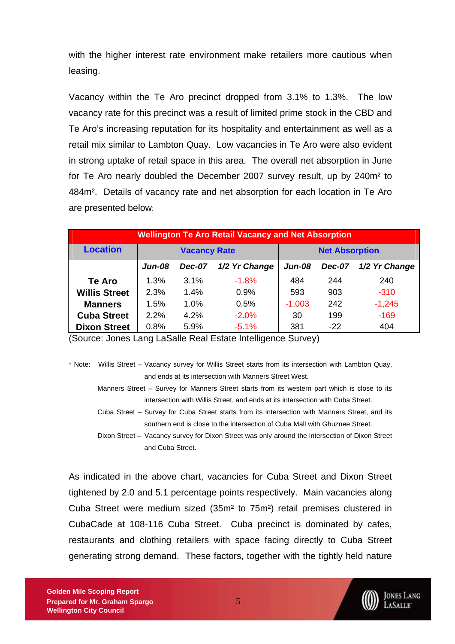with the higher interest rate environment make retailers more cautious when leasing.

Vacancy within the Te Aro precinct dropped from 3.1% to 1.3%. The low vacancy rate for this precinct was a result of limited prime stock in the CBD and Te Aro's increasing reputation for its hospitality and entertainment as well as a retail mix similar to Lambton Quay. Low vacancies in Te Aro were also evident in strong uptake of retail space in this area. The overall net absorption in June for Te Aro nearly doubled the December 2007 survey result, up by 240m² to 484m². Details of vacancy rate and net absorption for each location in Te Aro are presented below:

| <b>Wellington Te Aro Retail Vacancy and Net Absorption</b> |                     |               |               |                       |               |               |  |
|------------------------------------------------------------|---------------------|---------------|---------------|-----------------------|---------------|---------------|--|
| <b>Location</b>                                            | <b>Vacancy Rate</b> |               |               | <b>Net Absorption</b> |               |               |  |
|                                                            | <b>Jun-08</b>       | <b>Dec-07</b> | 1/2 Yr Change | <b>Jun-08</b>         | <b>Dec-07</b> | 1/2 Yr Change |  |
| Te Aro                                                     | 1.3%                | 3.1%          | $-1.8%$       | 484                   | 244           | 240           |  |
| <b>Willis Street</b>                                       | 2.3%                | 1.4%          | 0.9%          | 593                   | 903           | $-310$        |  |
| <b>Manners</b>                                             | 1.5%                | 1.0%          | 0.5%          | $-1,003$              | 242           | $-1,245$      |  |
| <b>Cuba Street</b>                                         | 2.2%                | 4.2%          | $-2.0%$       | 30                    | 199           | $-169$        |  |
| <b>Dixon Street</b>                                        | 0.8%                | 5.9%          | $-5.1%$       | 381                   | $-22$         | 404           |  |

(Source: Jones Lang LaSalle Real Estate Intelligence Survey)

\* Note: Willis Street – Vacancy survey for Willis Street starts from its intersection with Lambton Quay, and ends at its intersection with Manners Street West.

 Manners Street – Survey for Manners Street starts from its western part which is close to its intersection with Willis Street, and ends at its intersection with Cuba Street.

 Cuba Street – Survey for Cuba Street starts from its intersection with Manners Street, and its southern end is close to the intersection of Cuba Mall with Ghuznee Street.

 Dixon Street – Vacancy survey for Dixon Street was only around the intersection of Dixon Street and Cuba Street.

As indicated in the above chart, vacancies for Cuba Street and Dixon Street tightened by 2.0 and 5.1 percentage points respectively. Main vacancies along Cuba Street were medium sized (35m² to 75m²) retail premises clustered in CubaCade at 108-116 Cuba Street. Cuba precinct is dominated by cafes, restaurants and clothing retailers with space facing directly to Cuba Street generating strong demand. These factors, together with the tightly held nature



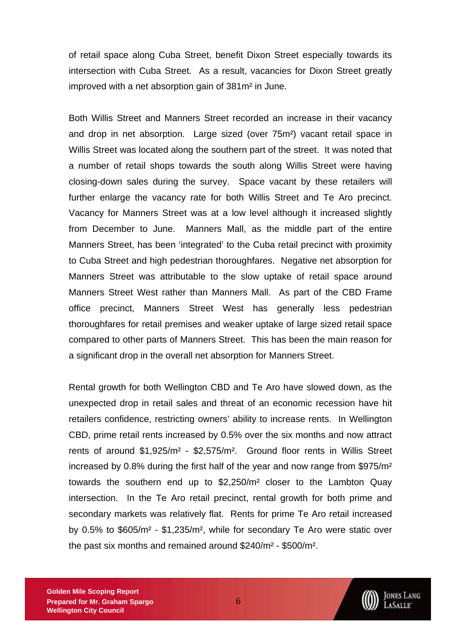of retail space along Cuba Street, benefit Dixon Street especially towards its intersection with Cuba Street. As a result, vacancies for Dixon Street greatly improved with a net absorption gain of 381m² in June.

Both Willis Street and Manners Street recorded an increase in their vacancy and drop in net absorption. Large sized (over 75m²) vacant retail space in Willis Street was located along the southern part of the street. It was noted that a number of retail shops towards the south along Willis Street were having closing-down sales during the survey. Space vacant by these retailers will further enlarge the vacancy rate for both Willis Street and Te Aro precinct. Vacancy for Manners Street was at a low level although it increased slightly from December to June. Manners Mall, as the middle part of the entire Manners Street, has been 'integrated' to the Cuba retail precinct with proximity to Cuba Street and high pedestrian thoroughfares. Negative net absorption for Manners Street was attributable to the slow uptake of retail space around Manners Street West rather than Manners Mall. As part of the CBD Frame office precinct, Manners Street West has generally less pedestrian thoroughfares for retail premises and weaker uptake of large sized retail space compared to other parts of Manners Street. This has been the main reason for a significant drop in the overall net absorption for Manners Street.

Rental growth for both Wellington CBD and Te Aro have slowed down, as the unexpected drop in retail sales and threat of an economic recession have hit retailers confidence, restricting owners' ability to increase rents. In Wellington CBD, prime retail rents increased by 0.5% over the six months and now attract rents of around \$1,925/m² - \$2,575/m². Ground floor rents in Willis Street increased by 0.8% during the first half of the year and now range from \$975/m² towards the southern end up to \$2,250/m² closer to the Lambton Quay intersection. In the Te Aro retail precinct, rental growth for both prime and secondary markets was relatively flat. Rents for prime Te Aro retail increased by 0.5% to \$605/m² - \$1,235/m², while for secondary Te Aro were static over the past six months and remained around \$240/m² - \$500/m².

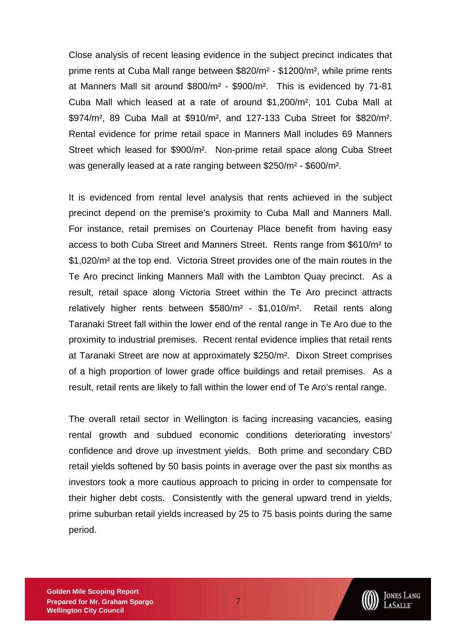Close analysis of recent leasing evidence in the subject precinct indicates that prime rents at Cuba Mall range between \$820/m² - \$1200/m², while prime rents at Manners Mall sit around \$800/m² - \$900/m². This is evidenced by 71-81 Cuba Mall which leased at a rate of around \$1,200/m², 101 Cuba Mall at \$974/m², 89 Cuba Mall at \$910/m², and 127-133 Cuba Street for \$820/m². Rental evidence for prime retail space in Manners Mall includes 69 Manners Street which leased for \$900/m². Non-prime retail space along Cuba Street was generally leased at a rate ranging between \$250/m² - \$600/m².

It is evidenced from rental level analysis that rents achieved in the subject precinct depend on the premise's proximity to Cuba Mall and Manners Mall. For instance, retail premises on Courtenay Place benefit from having easy access to both Cuba Street and Manners Street. Rents range from \$610/m² to \$1,020/m² at the top end. Victoria Street provides one of the main routes in the Te Aro precinct linking Manners Mall with the Lambton Quay precinct. As a result, retail space along Victoria Street within the Te Aro precinct attracts relatively higher rents between \$580/m² - \$1,010/m². Retail rents along Taranaki Street fall within the lower end of the rental range in Te Aro due to the proximity to industrial premises. Recent rental evidence implies that retail rents at Taranaki Street are now at approximately \$250/m². Dixon Street comprises of a high proportion of lower grade office buildings and retail premises. As a result, retail rents are likely to fall within the lower end of Te Aro's rental range.

The overall retail sector in Wellington is facing increasing vacancies, easing rental growth and subdued economic conditions deteriorating investors' confidence and drove up investment yields. Both prime and secondary CBD retail yields softened by 50 basis points in average over the past six months as investors took a more cautious approach to pricing in order to compensate for their higher debt costs. Consistently with the general upward trend in yields, prime suburban retail yields increased by 25 to 75 basis points during the same period.

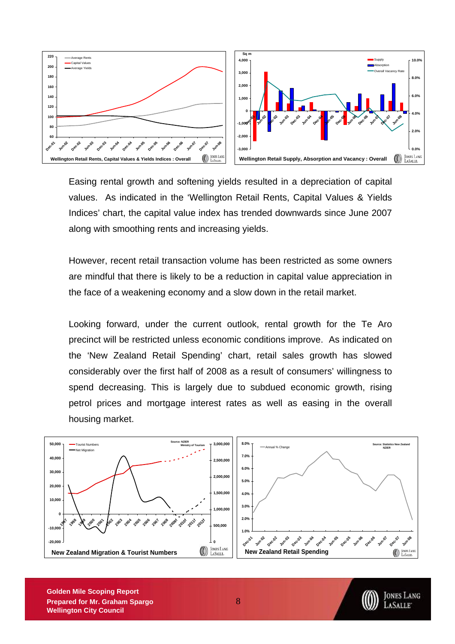

Easing rental growth and softening yields resulted in a depreciation of capital values. As indicated in the 'Wellington Retail Rents, Capital Values & Yields Indices' chart, the capital value index has trended downwards since June 2007 along with smoothing rents and increasing yields.

However, recent retail transaction volume has been restricted as some owners are mindful that there is likely to be a reduction in capital value appreciation in the face of a weakening economy and a slow down in the retail market.

Looking forward, under the current outlook, rental growth for the Te Aro precinct will be restricted unless economic conditions improve. As indicated on the 'New Zealand Retail Spending' chart, retail sales growth has slowed considerably over the first half of 2008 as a result of consumers' willingness to spend decreasing. This is largely due to subdued economic growth, rising petrol prices and mortgage interest rates as well as easing in the overall housing market.



**Golden Mile Scoping Report Prepared for Mr. Graham Spargo** 8 **Wellington City Council** 

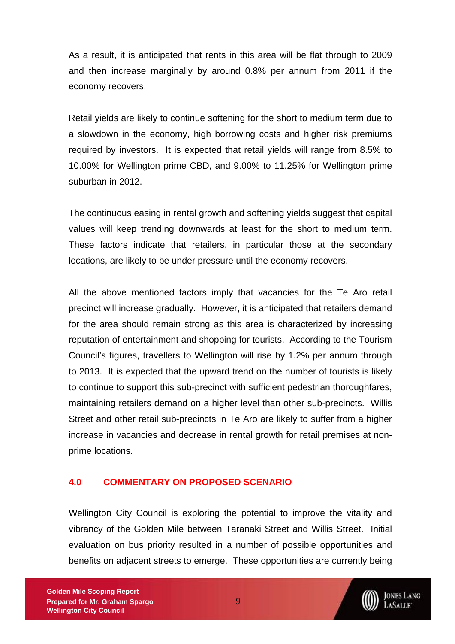<span id="page-8-0"></span>As a result, it is anticipated that rents in this area will be flat through to 2009 and then increase marginally by around 0.8% per annum from 2011 if the economy recovers.

Retail yields are likely to continue softening for the short to medium term due to a slowdown in the economy, high borrowing costs and higher risk premiums required by investors. It is expected that retail yields will range from 8.5% to 10.00% for Wellington prime CBD, and 9.00% to 11.25% for Wellington prime suburban in 2012.

The continuous easing in rental growth and softening yields suggest that capital values will keep trending downwards at least for the short to medium term. These factors indicate that retailers, in particular those at the secondary locations, are likely to be under pressure until the economy recovers.

All the above mentioned factors imply that vacancies for the Te Aro retail precinct will increase gradually. However, it is anticipated that retailers demand for the area should remain strong as this area is characterized by increasing reputation of entertainment and shopping for tourists. According to the Tourism Council's figures, travellers to Wellington will rise by 1.2% per annum through to 2013. It is expected that the upward trend on the number of tourists is likely to continue to support this sub-precinct with sufficient pedestrian thoroughfares, maintaining retailers demand on a higher level than other sub-precincts. Willis Street and other retail sub-precincts in Te Aro are likely to suffer from a higher increase in vacancies and decrease in rental growth for retail premises at nonprime locations.

### **4.0 COMMENTARY ON PROPOSED SCENARIO**

Wellington City Council is exploring the potential to improve the vitality and vibrancy of the Golden Mile between Taranaki Street and Willis Street. Initial evaluation on bus priority resulted in a number of possible opportunities and benefits on adjacent streets to emerge. These opportunities are currently being

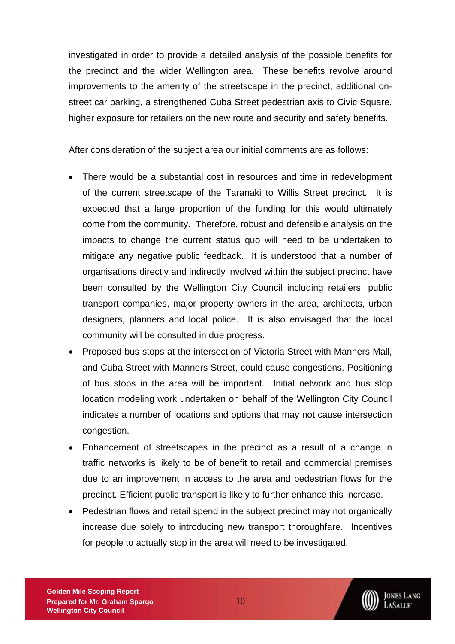investigated in order to provide a detailed analysis of the possible benefits for the precinct and the wider Wellington area. These benefits revolve around improvements to the amenity of the streetscape in the precinct, additional onstreet car parking, a strengthened Cuba Street pedestrian axis to Civic Square, higher exposure for retailers on the new route and security and safety benefits.

After consideration of the subject area our initial comments are as follows:

- There would be a substantial cost in resources and time in redevelopment of the current streetscape of the Taranaki to Willis Street precinct. It is expected that a large proportion of the funding for this would ultimately come from the community. Therefore, robust and defensible analysis on the impacts to change the current status quo will need to be undertaken to mitigate any negative public feedback. It is understood that a number of organisations directly and indirectly involved within the subject precinct have been consulted by the Wellington City Council including retailers, public transport companies, major property owners in the area, architects, urban designers, planners and local police. It is also envisaged that the local community will be consulted in due progress.
- Proposed bus stops at the intersection of Victoria Street with Manners Mall, and Cuba Street with Manners Street, could cause congestions. Positioning of bus stops in the area will be important. Initial network and bus stop location modeling work undertaken on behalf of the Wellington City Council indicates a number of locations and options that may not cause intersection congestion.
- Enhancement of streetscapes in the precinct as a result of a change in traffic networks is likely to be of benefit to retail and commercial premises due to an improvement in access to the area and pedestrian flows for the precinct. Efficient public transport is likely to further enhance this increase.
- Pedestrian flows and retail spend in the subject precinct may not organically increase due solely to introducing new transport thoroughfare. Incentives for people to actually stop in the area will need to be investigated.

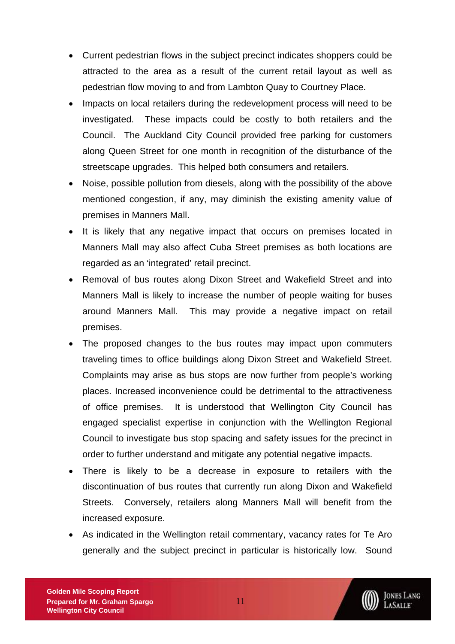- Current pedestrian flows in the subject precinct indicates shoppers could be attracted to the area as a result of the current retail layout as well as pedestrian flow moving to and from Lambton Quay to Courtney Place.
- Impacts on local retailers during the redevelopment process will need to be investigated. These impacts could be costly to both retailers and the Council. The Auckland City Council provided free parking for customers along Queen Street for one month in recognition of the disturbance of the streetscape upgrades. This helped both consumers and retailers.
- Noise, possible pollution from diesels, along with the possibility of the above mentioned congestion, if any, may diminish the existing amenity value of premises in Manners Mall.
- It is likely that any negative impact that occurs on premises located in Manners Mall may also affect Cuba Street premises as both locations are regarded as an 'integrated' retail precinct.
- Removal of bus routes along Dixon Street and Wakefield Street and into Manners Mall is likely to increase the number of people waiting for buses around Manners Mall. This may provide a negative impact on retail premises.
- The proposed changes to the bus routes may impact upon commuters traveling times to office buildings along Dixon Street and Wakefield Street. Complaints may arise as bus stops are now further from people's working places. Increased inconvenience could be detrimental to the attractiveness of office premises. It is understood that Wellington City Council has engaged specialist expertise in conjunction with the Wellington Regional Council to investigate bus stop spacing and safety issues for the precinct in order to further understand and mitigate any potential negative impacts.
- There is likely to be a decrease in exposure to retailers with the discontinuation of bus routes that currently run along Dixon and Wakefield Streets. Conversely, retailers along Manners Mall will benefit from the increased exposure.
- As indicated in the Wellington retail commentary, vacancy rates for Te Aro generally and the subject precinct in particular is historically low. Sound

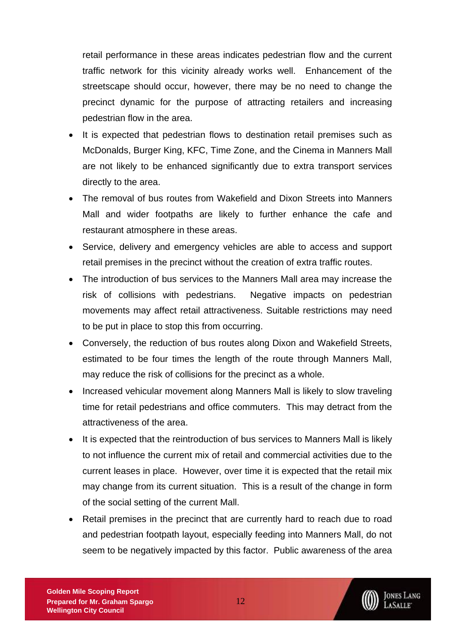retail performance in these areas indicates pedestrian flow and the current traffic network for this vicinity already works well. Enhancement of the streetscape should occur, however, there may be no need to change the precinct dynamic for the purpose of attracting retailers and increasing pedestrian flow in the area.

- It is expected that pedestrian flows to destination retail premises such as McDonalds, Burger King, KFC, Time Zone, and the Cinema in Manners Mall are not likely to be enhanced significantly due to extra transport services directly to the area.
- The removal of bus routes from Wakefield and Dixon Streets into Manners Mall and wider footpaths are likely to further enhance the cafe and restaurant atmosphere in these areas.
- Service, delivery and emergency vehicles are able to access and support retail premises in the precinct without the creation of extra traffic routes.
- The introduction of bus services to the Manners Mall area may increase the risk of collisions with pedestrians. Negative impacts on pedestrian movements may affect retail attractiveness. Suitable restrictions may need to be put in place to stop this from occurring.
- Conversely, the reduction of bus routes along Dixon and Wakefield Streets, estimated to be four times the length of the route through Manners Mall, may reduce the risk of collisions for the precinct as a whole.
- Increased vehicular movement along Manners Mall is likely to slow traveling time for retail pedestrians and office commuters. This may detract from the attractiveness of the area.
- It is expected that the reintroduction of bus services to Manners Mall is likely to not influence the current mix of retail and commercial activities due to the current leases in place. However, over time it is expected that the retail mix may change from its current situation. This is a result of the change in form of the social setting of the current Mall.
- Retail premises in the precinct that are currently hard to reach due to road and pedestrian footpath layout, especially feeding into Manners Mall, do not seem to be negatively impacted by this factor. Public awareness of the area

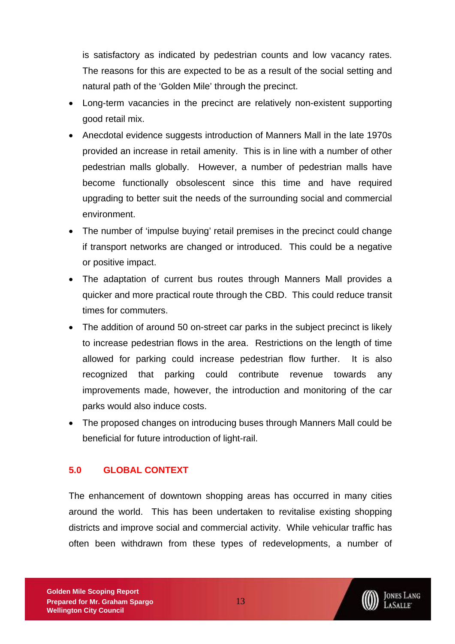<span id="page-12-0"></span>is satisfactory as indicated by pedestrian counts and low vacancy rates. The reasons for this are expected to be as a result of the social setting and natural path of the 'Golden Mile' through the precinct.

- Long-term vacancies in the precinct are relatively non-existent supporting good retail mix.
- Anecdotal evidence suggests introduction of Manners Mall in the late 1970s provided an increase in retail amenity. This is in line with a number of other pedestrian malls globally. However, a number of pedestrian malls have become functionally obsolescent since this time and have required upgrading to better suit the needs of the surrounding social and commercial environment.
- The number of 'impulse buying' retail premises in the precinct could change if transport networks are changed or introduced. This could be a negative or positive impact.
- The adaptation of current bus routes through Manners Mall provides a quicker and more practical route through the CBD. This could reduce transit times for commuters.
- The addition of around 50 on-street car parks in the subject precinct is likely to increase pedestrian flows in the area. Restrictions on the length of time allowed for parking could increase pedestrian flow further. It is also recognized that parking could contribute revenue towards any improvements made, however, the introduction and monitoring of the car parks would also induce costs.
- The proposed changes on introducing buses through Manners Mall could be beneficial for future introduction of light-rail.

# **5.0 GLOBAL CONTEXT**

The enhancement of downtown shopping areas has occurred in many cities around the world. This has been undertaken to revitalise existing shopping districts and improve social and commercial activity. While vehicular traffic has often been withdrawn from these types of redevelopments, a number of

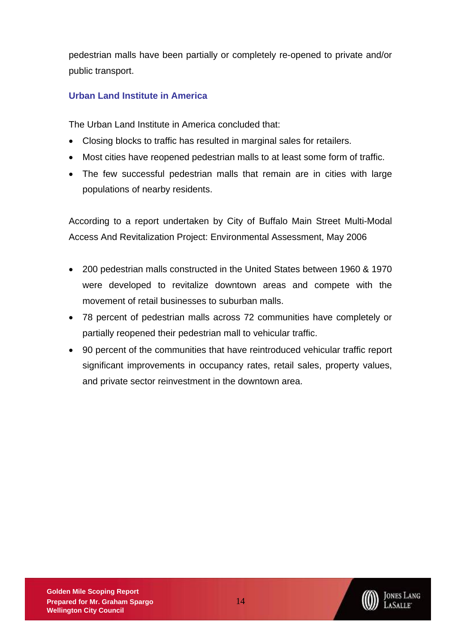<span id="page-13-0"></span>pedestrian malls have been partially or completely re-opened to private and/or public transport.

# **Urban Land Institute in America**

The Urban Land Institute in America concluded that:

- Closing blocks to traffic has resulted in marginal sales for retailers.
- Most cities have reopened pedestrian malls to at least some form of traffic.
- The few successful pedestrian malls that remain are in cities with large populations of nearby residents.

According to a report undertaken by City of Buffalo Main Street Multi-Modal Access And Revitalization Project: Environmental Assessment, May 2006

- 200 pedestrian malls constructed in the United States between 1960 & 1970 were developed to revitalize downtown areas and compete with the movement of retail businesses to suburban malls.
- 78 percent of pedestrian malls across 72 communities have completely or partially reopened their pedestrian mall to vehicular traffic.
- 90 percent of the communities that have reintroduced vehicular traffic report significant improvements in occupancy rates, retail sales, property values, and private sector reinvestment in the downtown area.

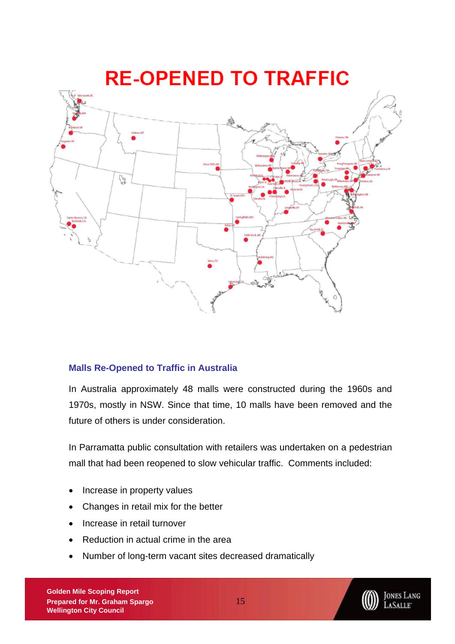<span id="page-14-0"></span>

### **Malls Re-Opened to Traffic in Australia**

In Australia approximately 48 malls were constructed during the 1960s and 1970s, mostly in NSW. Since that time, 10 malls have been removed and the future of others is under consideration.

In Parramatta public consultation with retailers was undertaken on a pedestrian mall that had been reopened to slow vehicular traffic. Comments included:

- Increase in property values
- Changes in retail mix for the better
- Increase in retail turnover
- Reduction in actual crime in the area
- Number of long-term vacant sites decreased dramatically

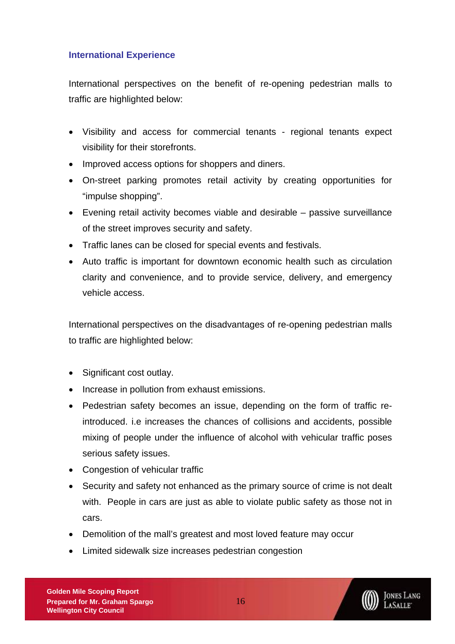## <span id="page-15-0"></span>**International Experience**

International perspectives on the benefit of re-opening pedestrian malls to traffic are highlighted below:

- Visibility and access for commercial tenants regional tenants expect visibility for their storefronts.
- Improved access options for shoppers and diners.
- On-street parking promotes retail activity by creating opportunities for "impulse shopping".
- Evening retail activity becomes viable and desirable passive surveillance of the street improves security and safety.
- Traffic lanes can be closed for special events and festivals.
- Auto traffic is important for downtown economic health such as circulation clarity and convenience, and to provide service, delivery, and emergency vehicle access.

International perspectives on the disadvantages of re-opening pedestrian malls to traffic are highlighted below:

- Significant cost outlay.
- Increase in pollution from exhaust emissions.
- Pedestrian safety becomes an issue, depending on the form of traffic reintroduced. i.e increases the chances of collisions and accidents, possible mixing of people under the influence of alcohol with vehicular traffic poses serious safety issues.
- Congestion of vehicular traffic
- Security and safety not enhanced as the primary source of crime is not dealt with. People in cars are just as able to violate public safety as those not in cars.
- Demolition of the mall's greatest and most loved feature may occur
- Limited sidewalk size increases pedestrian congestion

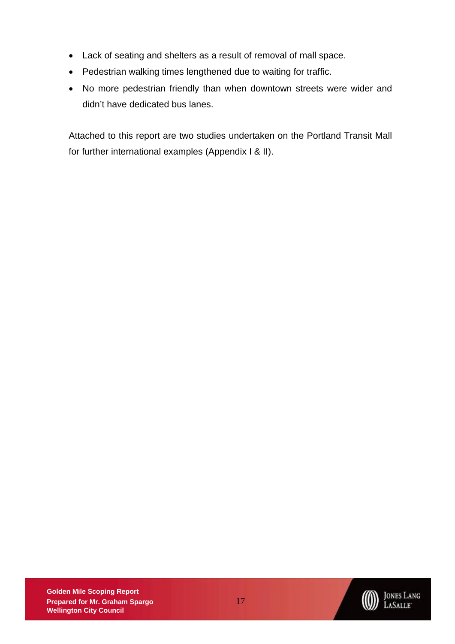- Lack of seating and shelters as a result of removal of mall space.
- Pedestrian walking times lengthened due to waiting for traffic.
- No more pedestrian friendly than when downtown streets were wider and didn't have dedicated bus lanes.

Attached to this report are two studies undertaken on the Portland Transit Mall for further international examples (Appendix I & II).

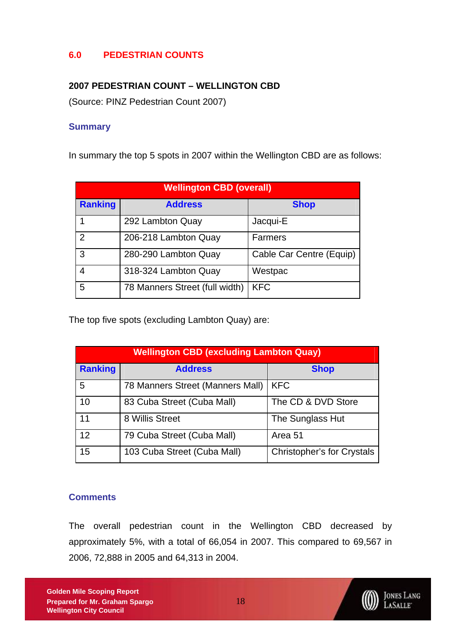# <span id="page-17-0"></span>**6.0 PEDESTRIAN COUNTS**

## **2007 PEDESTRIAN COUNT – WELLINGTON CBD**

(Source: PINZ Pedestrian Count 2007)

### **Summary**

In summary the top 5 spots in 2007 within the Wellington CBD are as follows:

| <b>Wellington CBD (overall)</b> |                                |                          |  |  |
|---------------------------------|--------------------------------|--------------------------|--|--|
| <b>Ranking</b>                  | <b>Address</b>                 | <b>Shop</b>              |  |  |
|                                 | 292 Lambton Quay               | Jacqui-E                 |  |  |
| 2                               | 206-218 Lambton Quay           | <b>Farmers</b>           |  |  |
| 3                               | 280-290 Lambton Quay           | Cable Car Centre (Equip) |  |  |
| 4                               | 318-324 Lambton Quay           | Westpac                  |  |  |
| 5                               | 78 Manners Street (full width) | <b>KFC</b>               |  |  |

The top five spots (excluding Lambton Quay) are:

| <b>Wellington CBD (excluding Lambton Quay)</b> |                                  |                                   |  |  |
|------------------------------------------------|----------------------------------|-----------------------------------|--|--|
| <b>Ranking</b><br><b>Address</b>               |                                  | <b>Shop</b>                       |  |  |
| 5                                              | 78 Manners Street (Manners Mall) | <b>KFC</b>                        |  |  |
| 10                                             | 83 Cuba Street (Cuba Mall)       | The CD & DVD Store                |  |  |
| 11                                             | 8 Willis Street                  | The Sunglass Hut                  |  |  |
| 12                                             | 79 Cuba Street (Cuba Mall)       | Area 51                           |  |  |
| 15                                             | 103 Cuba Street (Cuba Mall)      | <b>Christopher's for Crystals</b> |  |  |

### **Comments**

The overall pedestrian count in the Wellington CBD decreased by approximately 5%, with a total of 66,054 in 2007. This compared to 69,567 in 2006, 72,888 in 2005 and 64,313 in 2004.



JONES LANG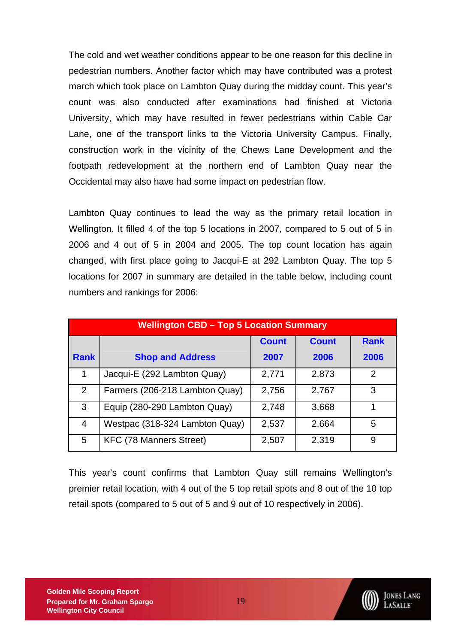The cold and wet weather conditions appear to be one reason for this decline in pedestrian numbers. Another factor which may have contributed was a protest march which took place on Lambton Quay during the midday count. This year's count was also conducted after examinations had finished at Victoria University, which may have resulted in fewer pedestrians within Cable Car Lane, one of the transport links to the Victoria University Campus. Finally, construction work in the vicinity of the Chews Lane Development and the footpath redevelopment at the northern end of Lambton Quay near the Occidental may also have had some impact on pedestrian flow.

Lambton Quay continues to lead the way as the primary retail location in Wellington. It filled 4 of the top 5 locations in 2007, compared to 5 out of 5 in 2006 and 4 out of 5 in 2004 and 2005. The top count location has again changed, with first place going to Jacqui-E at 292 Lambton Quay. The top 5 locations for 2007 in summary are detailed in the table below, including count numbers and rankings for 2006:

| <b>Wellington CBD - Top 5 Location Summary</b> |                                |              |              |               |  |
|------------------------------------------------|--------------------------------|--------------|--------------|---------------|--|
|                                                |                                | <b>Count</b> | <b>Count</b> | <b>Rank</b>   |  |
| <b>Rank</b>                                    | <b>Shop and Address</b>        | 2007         | 2006         | 2006          |  |
| 1                                              | Jacqui-E (292 Lambton Quay)    | 2,771        | 2,873        | $\mathcal{P}$ |  |
| $\overline{2}$                                 | Farmers (206-218 Lambton Quay) | 2,756        | 2,767        | 3             |  |
| 3                                              | Equip (280-290 Lambton Quay)   | 2,748        | 3,668        |               |  |
| 4                                              | Westpac (318-324 Lambton Quay) | 2,537        | 2,664        | 5             |  |
| 5                                              | <b>KFC (78 Manners Street)</b> | 2,507        | 2,319        | 9             |  |

This year's count confirms that Lambton Quay still remains Wellington's premier retail location, with 4 out of the 5 top retail spots and 8 out of the 10 top retail spots (compared to 5 out of 5 and 9 out of 10 respectively in 2006).

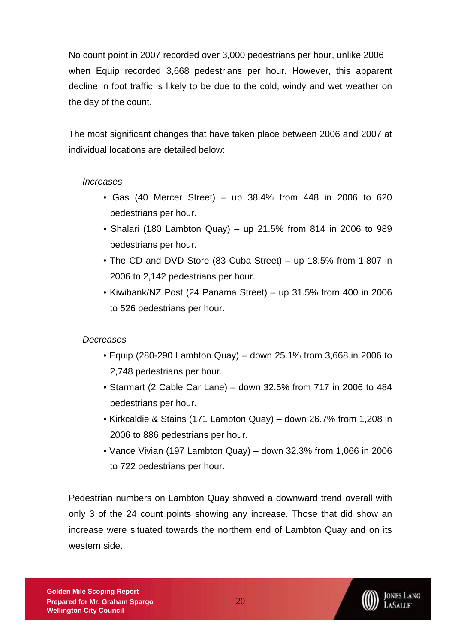No count point in 2007 recorded over 3,000 pedestrians per hour, unlike 2006 when Equip recorded 3,668 pedestrians per hour. However, this apparent decline in foot traffic is likely to be due to the cold, windy and wet weather on the day of the count.

The most significant changes that have taken place between 2006 and 2007 at individual locations are detailed below:

### *Increases*

- Gas (40 Mercer Street) up  $38.4\%$  from  $448$  in 2006 to 620 pedestrians per hour.
- Shalari (180 Lambton Quay) up 21.5% from 814 in 2006 to 989 pedestrians per hour.
- The CD and DVD Store (83 Cuba Street) up 18.5% from 1,807 in 2006 to 2,142 pedestrians per hour.
- Kiwibank/NZ Post (24 Panama Street) up 31.5% from 400 in 2006 to 526 pedestrians per hour.

### *Decreases*

- Equip (280-290 Lambton Quay) down 25.1% from 3,668 in 2006 to 2,748 pedestrians per hour.
- Starmart (2 Cable Car Lane) down 32.5% from 717 in 2006 to 484 pedestrians per hour.
- Kirkcaldie & Stains (171 Lambton Quay) down 26.7% from 1,208 in 2006 to 886 pedestrians per hour.
- Vance Vivian (197 Lambton Quay) down 32.3% from 1,066 in 2006 to 722 pedestrians per hour.

Pedestrian numbers on Lambton Quay showed a downward trend overall with only 3 of the 24 count points showing any increase. Those that did show an increase were situated towards the northern end of Lambton Quay and on its western side.